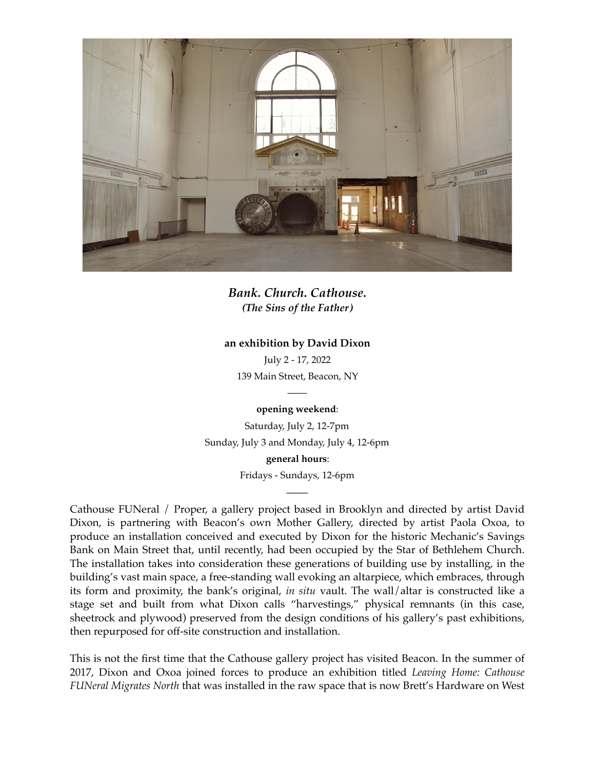

*Bank. Church. Cathouse. (The Sins of the Father)*

## **an exhibition by David Dixon**

July 2 - 17, 2022 139 Main Street, Beacon, NY

> — **opening weekend**:

Saturday, July 2, 12-7pm Sunday, July 3 and Monday, July 4, 12-6pm **general hours**:

Fridays - Sundays, 12-6pm ——

Cathouse FUNeral / Proper, a gallery project based in Brooklyn and directed by artist David Dixon, is partnering with Beacon's own Mother Gallery, directed by artist Paola Oxoa, to produce an installation conceived and executed by Dixon for the historic Mechanic's Savings Bank on Main Street that, until recently, had been occupied by the Star of Bethlehem Church. The installation takes into consideration these generations of building use by installing, in the building's vast main space, a free-standing wall evoking an altarpiece, which embraces, through its form and proximity, the bank's original, *in situ* vault. The wall/altar is constructed like a stage set and built from what Dixon calls "harvestings," physical remnants (in this case, sheetrock and plywood) preserved from the design conditions of his gallery's past exhibitions, then repurposed for off-site construction and installation.

This is not the first time that the Cathouse gallery project has visited Beacon. In the summer of 2017, Dixon and Oxoa joined forces to produce an exhibition titled *Leaving Home: Cathouse FUNeral Migrates North* that was installed in the raw space that is now Brett's Hardware on West